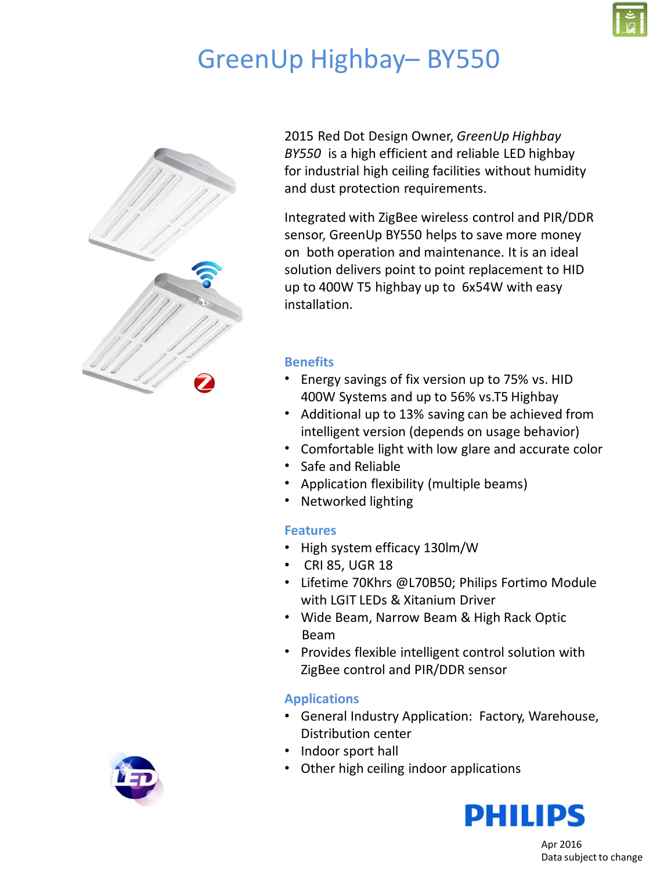

# GreenUp Highbay– BY550



2015 Red Dot Design Owner, *GreenUp Highbay BY550* is a high efficient and reliable LED highbay for industrial high ceiling facilities without humidity and dust protection requirements.

Integrated with ZigBee wireless control and PIR/DDR sensor, GreenUp BY550 helps to save more money on both operation and maintenance. It is an ideal solution delivers point to point replacement to HID up to 400W T5 highbay up to 6x54W with easy installation.

#### **Benefits**

- Energy savings of fix version up to 75% vs. HID 400W Systems and up to 56% vs.T5 Highbay
- Additional up to 13% saving can be achieved from intelligent version (depends on usage behavior)
- Comfortable light with low glare and accurate color
- Safe and Reliable
- Application flexibility (multiple beams)
- Networked lighting

#### **Features**

- High system efficacy 130lm/W
- CRI 85, UGR 18
- Lifetime 70Khrs @L70B50; Philips Fortimo Module with LGIT LEDs & Xitanium Driver
- Wide Beam, Narrow Beam & High Rack Optic Beam
- Provides flexible intelligent control solution with ZigBee control and PIR/DDR sensor

### **Applications**

- General Industry Application: Factory, Warehouse, Distribution center
- Indoor sport hall
- Other high ceiling indoor applications



Apr 2016 Data subject to change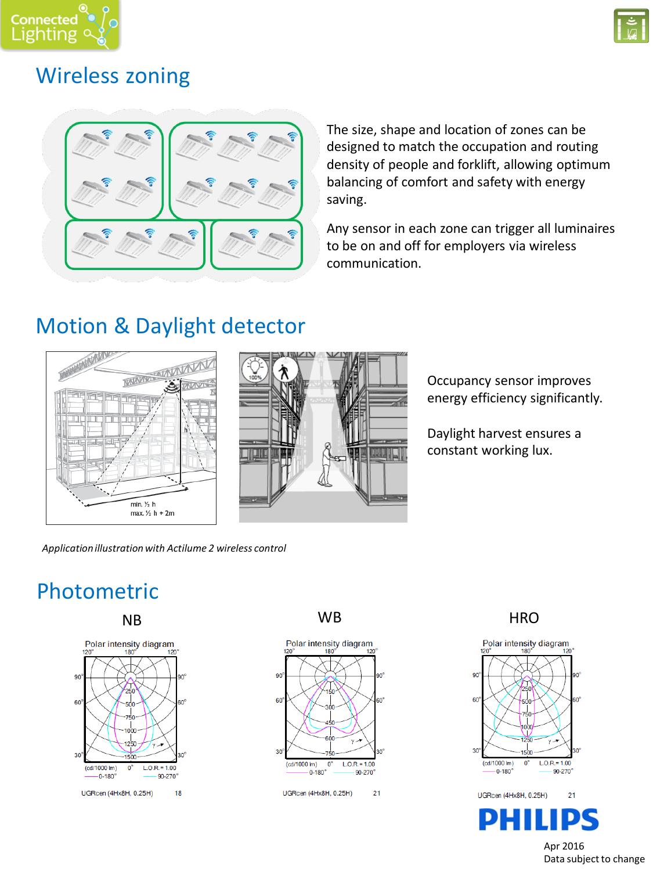



### Wireless zoning



The size, shape and location of zones can be designed to match the occupation and routing density of people and forklift, allowing optimum balancing of comfort and safety with energy saving.

Any sensor in each zone can trigger all luminaires to be on and off for employers via wireless communication.

### Motion & Daylight detector





Occupancy sensor improves energy efficiency significantly.

Daylight harvest ensures a constant working lux.

*Application illustration with Actilume 2 wireless control*

## Photometric







NB WB HRO



Apr 2016 Data subject to change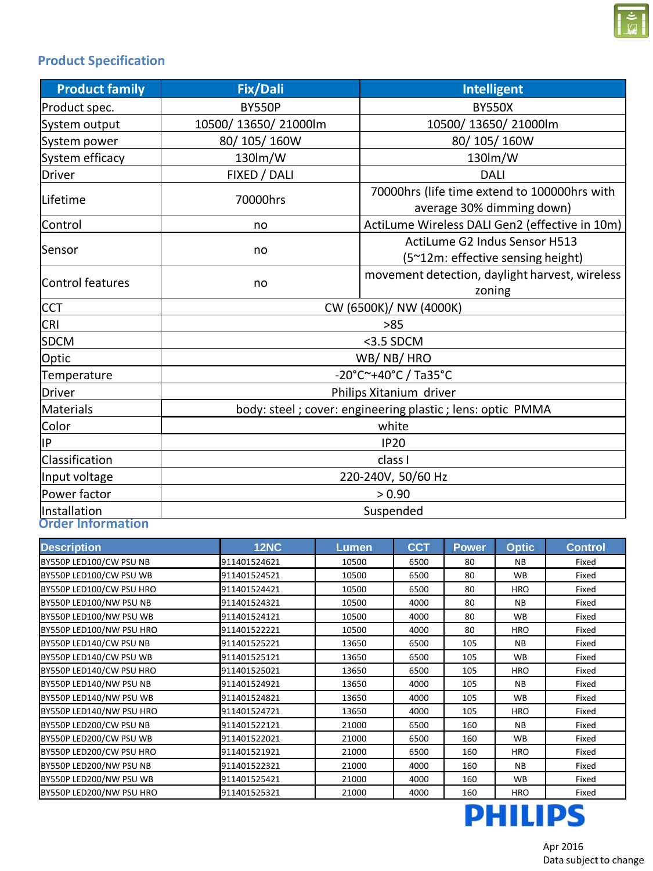

### **Product Specification**

| <b>Product family</b>    | <b>Fix/Dali</b>                                             | <b>Intelligent</b>                                                        |  |  |  |  |
|--------------------------|-------------------------------------------------------------|---------------------------------------------------------------------------|--|--|--|--|
| Product spec.            | <b>BY550P</b>                                               | <b>BY550X</b>                                                             |  |  |  |  |
| System output            | 10500/ 13650/ 21000lm                                       | 10500/ 13650/ 21000lm                                                     |  |  |  |  |
| System power             | 80/105/160W                                                 | 80/105/160W                                                               |  |  |  |  |
| System efficacy          | 130lm/W                                                     | 130lm/W                                                                   |  |  |  |  |
| Driver                   | FIXED / DALI                                                | <b>DALI</b>                                                               |  |  |  |  |
| Lifetime                 | 70000hrs                                                    | 70000hrs (life time extend to 100000hrs with<br>average 30% dimming down) |  |  |  |  |
| Control                  | no                                                          | ActiLume Wireless DALI Gen2 (effective in 10m)                            |  |  |  |  |
| Sensor                   | no                                                          | ActiLume G2 Indus Sensor H513<br>(5~12m: effective sensing height)        |  |  |  |  |
| Control features         | no                                                          | movement detection, daylight harvest, wireless<br>zoning                  |  |  |  |  |
| <b>CCT</b>               | CW (6500K)/ NW (4000K)                                      |                                                                           |  |  |  |  |
| <b>CRI</b>               | >85                                                         |                                                                           |  |  |  |  |
| <b>SDCM</b>              | <3.5 SDCM                                                   |                                                                           |  |  |  |  |
| Optic                    | WB/NB/HRO                                                   |                                                                           |  |  |  |  |
| Temperature              | -20°C~+40°C / Ta35°C                                        |                                                                           |  |  |  |  |
| Driver                   | Philips Xitanium driver                                     |                                                                           |  |  |  |  |
| Materials                | body: steel ; cover: engineering plastic ; lens: optic PMMA |                                                                           |  |  |  |  |
| Color                    | white                                                       |                                                                           |  |  |  |  |
| IP                       | <b>IP20</b>                                                 |                                                                           |  |  |  |  |
| Classification           | class I                                                     |                                                                           |  |  |  |  |
| Input voltage            | 220-240V, 50/60 Hz                                          |                                                                           |  |  |  |  |
| Power factor             | > 0.90                                                      |                                                                           |  |  |  |  |
| Installation             | Suspended                                                   |                                                                           |  |  |  |  |
| <b>Order Information</b> |                                                             |                                                                           |  |  |  |  |

| <b>Description</b>       | <b>12NC</b>  | Lumen | <b>CCT</b> | <b>Power</b> | <b>Optic</b> | <b>Control</b> |
|--------------------------|--------------|-------|------------|--------------|--------------|----------------|
| BY550P LED100/CW PSU NB  | 911401524621 | 10500 | 6500       | 80           | <b>NB</b>    | Fixed          |
| BY550P LED100/CW PSU WB  | 911401524521 | 10500 | 6500       | 80           | <b>WB</b>    | Fixed          |
| BY550P LED100/CW PSU HRO | 911401524421 | 10500 | 6500       | 80           | <b>HRO</b>   | Fixed          |
| BY550P LED100/NW PSU NB  | 911401524321 | 10500 | 4000       | 80           | <b>NB</b>    | Fixed          |
| BY550P LED100/NW PSU WB  | 911401524121 | 10500 | 4000       | 80           | <b>WB</b>    | Fixed          |
| BY550P LED100/NW PSU HRO | 911401522221 | 10500 | 4000       | 80           | <b>HRO</b>   | Fixed          |
| BY550P LED140/CW PSU NB  | 911401525221 | 13650 | 6500       | 105          | <b>NB</b>    | Fixed          |
| BY550P LED140/CW PSU WB  | 911401525121 | 13650 | 6500       | 105          | <b>WB</b>    | Fixed          |
| BY550P LED140/CW PSU HRO | 911401525021 | 13650 | 6500       | 105          | <b>HRO</b>   | Fixed          |
| BY550P LED140/NW PSU NB  | 911401524921 | 13650 | 4000       | 105          | <b>NB</b>    | Fixed          |
| BY550P LED140/NW PSU WB  | 911401524821 | 13650 | 4000       | 105          | <b>WB</b>    | Fixed          |
| BY550P LED140/NW PSU HRO | 911401524721 | 13650 | 4000       | 105          | HRO          | Fixed          |
| BY550P LED200/CW PSU NB  | 911401522121 | 21000 | 6500       | 160          | <b>NB</b>    | Fixed          |
| BY550P LED200/CW PSU WB  | 911401522021 | 21000 | 6500       | 160          | <b>WB</b>    | Fixed          |
| BY550P LED200/CW PSU HRO | 911401521921 | 21000 | 6500       | 160          | <b>HRO</b>   | Fixed          |
| BY550P LED200/NW PSU NB  | 911401522321 | 21000 | 4000       | 160          | <b>NB</b>    | Fixed          |
| BY550P LED200/NW PSU WB  | 911401525421 | 21000 | 4000       | 160          | <b>WB</b>    | Fixed          |
| BY550P LED200/NW PSU HRO | 911401525321 | 21000 | 4000       | 160          | <b>HRO</b>   | Fixed          |



Apr 2016 Data subject to change